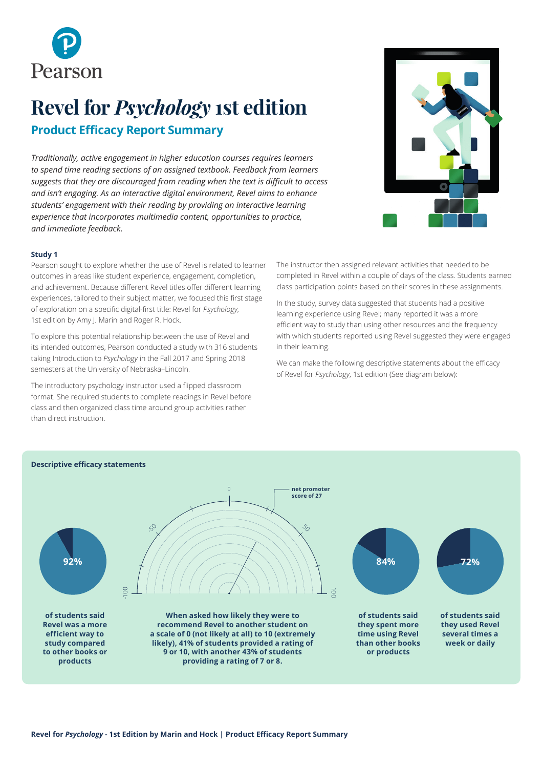

# **Revel for** *Psychology* **1st edition Product Efficacy Report Summary**

*Traditionally, active engagement in higher education courses requires learners to spend time reading sections of an assigned textbook. Feedback from learners suggests that they are discouraged from reading when the text is difficult to access and isn't engaging. As an interactive digital environment, Revel aims to enhance students' engagement with their reading by providing an interactive learning experience that incorporates multimedia content, opportunities to practice, and immediate feedback.*



### **Study 1**

Pearson sought to explore whether the use of Revel is related to learner outcomes in areas like student experience, engagement, completion, and achievement. Because different Revel titles offer different learning experiences, tailored to their subject matter, we focused this first stage of exploration on a specific digital-first title: Revel for *Psychology*, 1st edition by Amy J. Marin and Roger R. Hock.

To explore this potential relationship between the use of Revel and its intended outcomes, Pearson conducted a study with 316 students taking Introduction to *Psychology* in the Fall 2017 and Spring 2018 semesters at the University of Nebraska–Lincoln.

The introductory psychology instructor used a flipped classroom format. She required students to complete readings in Revel before class and then organized class time around group activities rather than direct instruction.

The instructor then assigned relevant activities that needed to be completed in Revel within a couple of days of the class. Students earned class participation points based on their scores in these assignments.

In the study, survey data suggested that students had a positive learning experience using Revel; many reported it was a more efficient way to study than using other resources and the frequency with which students reported using Revel suggested they were engaged in their learning.

We can make the following descriptive statements about the efficacy of Revel for *Psychology*, 1st edition (See diagram below):